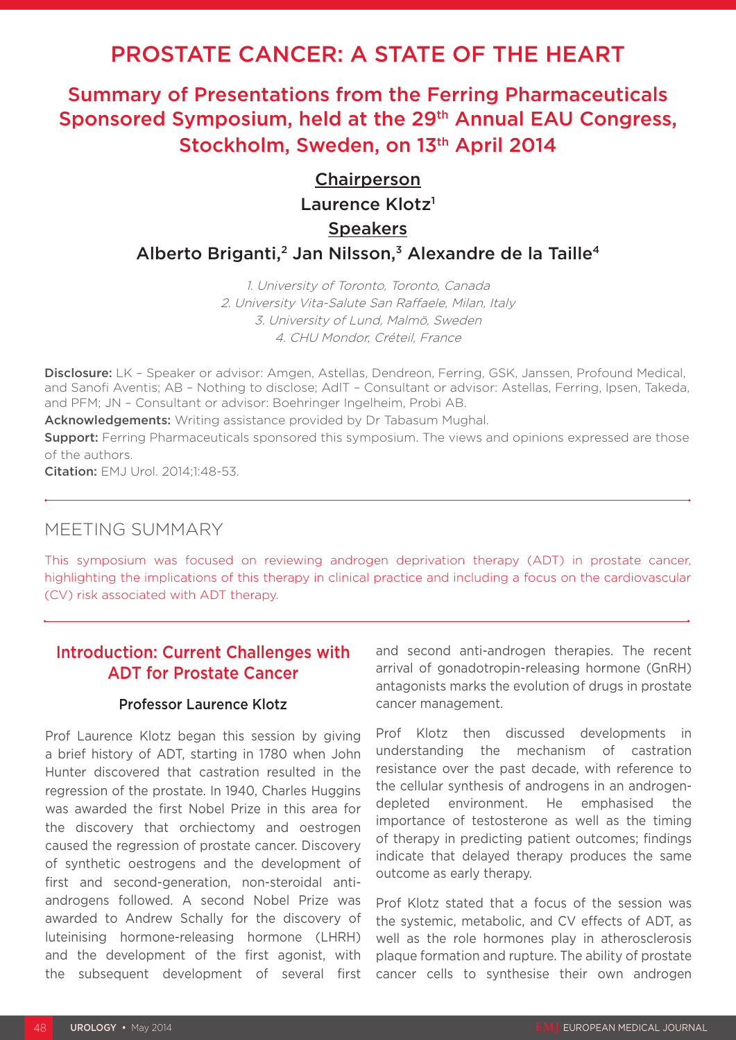# PROSTATE CANCER: A STATE OF THE HEART

# Summary of Presentations from the Ferring Pharmaceuticals Sponsored Symposium, held at the 29<sup>th</sup> Annual EAU Congress, Stockholm, Sweden, on 13<sup>th</sup> April 2014

## **Chairperson**

Laurence Klotz<sup>1</sup>

### **Speakers**

### Alberto Briganti,<sup>2</sup> Jan Nilsson,<sup>3</sup> Alexandre de la Taille<sup>4</sup>

1. University of Toronto, Toronto, Canada 2. University Vita-Salute San Raffaele, Milan, Italy 3. University of Lund, Malmö, Sweden 4. CHU Mondor, Créteil, France

Disclosure: LK - Speaker or advisor: Amgen, Astellas, Dendreon, Ferring, GSK, Janssen, Profound Medical, and Sanofi Aventis; AB – Nothing to disclose; AdlT – Consultant or advisor: Astellas, Ferring, Ipsen, Takeda, and PFM; JN – Consultant or advisor: Boehringer Ingelheim, Probi AB.

Acknowledgements: Writing assistance provided by Dr Tabasum Mughal.

**Support:** Ferring Pharmaceuticals sponsored this symposium. The views and opinions expressed are those of the authors.

Citation: EMJ Urol. 2014;1:48-53.

## MEETING SUMMARY

This symposium was focused on reviewing androgen deprivation therapy (ADT) in prostate cancer, highlighting the implications of this therapy in clinical practice and including a focus on the cardiovascular (CV) risk associated with ADT therapy.

## Introduction: Current Challenges with ADT for Prostate Cancer

#### Professor Laurence Klotz

Prof Laurence Klotz began this session by giving a brief history of ADT, starting in 1780 when John Hunter discovered that castration resulted in the regression of the prostate. In 1940, Charles Huggins was awarded the first Nobel Prize in this area for the discovery that orchiectomy and oestrogen caused the regression of prostate cancer. Discovery of synthetic oestrogens and the development of first and second-generation, non-steroidal antiandrogens followed. A second Nobel Prize was awarded to Andrew Schally for the discovery of luteinising hormone-releasing hormone (LHRH) and the development of the first agonist, with the subsequent development of several first and second anti-androgen therapies. The recent arrival of gonadotropin-releasing hormone (GnRH) antagonists marks the evolution of drugs in prostate cancer management.

Prof Klotz then discussed developments in understanding the mechanism of castration resistance over the past decade, with reference to the cellular synthesis of androgens in an androgendepleted environment. He emphasised the importance of testosterone as well as the timing of therapy in predicting patient outcomes; findings indicate that delayed therapy produces the same outcome as early therapy.

Prof Klotz stated that a focus of the session was the systemic, metabolic, and CV effects of ADT, as well as the role hormones play in atherosclerosis plaque formation and rupture. The ability of prostate cancer cells to synthesise their own androgen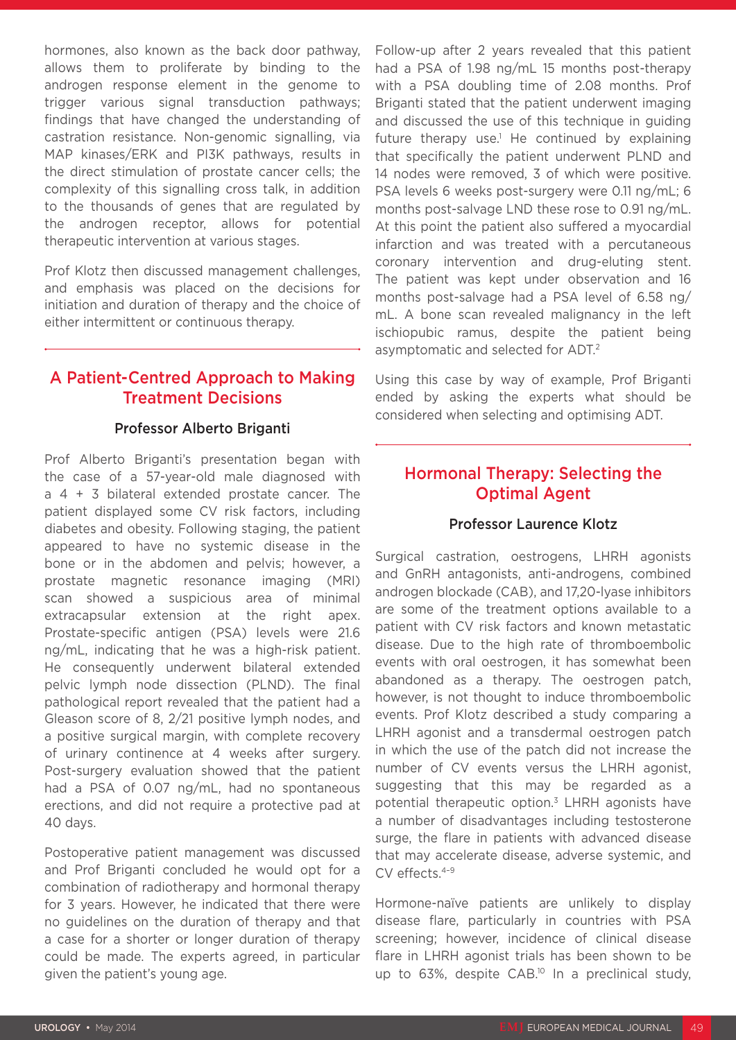hormones, also known as the back door pathway, allows them to proliferate by binding to the androgen response element in the genome to trigger various signal transduction pathways; findings that have changed the understanding of castration resistance. Non-genomic signalling, via MAP kinases/ERK and PI3K pathways, results in the direct stimulation of prostate cancer cells; the complexity of this signalling cross talk, in addition to the thousands of genes that are regulated by the androgen receptor, allows for potential therapeutic intervention at various stages.

Prof Klotz then discussed management challenges, and emphasis was placed on the decisions for initiation and duration of therapy and the choice of either intermittent or continuous therapy.

## A Patient-Centred Approach to Making Treatment Decisions

#### Professor Alberto Briganti

Prof Alberto Briganti's presentation began with the case of a 57-year-old male diagnosed with a 4 + 3 bilateral extended prostate cancer. The patient displayed some CV risk factors, including diabetes and obesity. Following staging, the patient appeared to have no systemic disease in the bone or in the abdomen and pelvis; however, a prostate magnetic resonance imaging (MRI) scan showed a suspicious area of minimal extracapsular extension at the right apex. Prostate-specific antigen (PSA) levels were 21.6 ng/mL, indicating that he was a high-risk patient. He consequently underwent bilateral extended pelvic lymph node dissection (PLND). The final pathological report revealed that the patient had a Gleason score of 8, 2/21 positive lymph nodes, and a positive surgical margin, with complete recovery of urinary continence at 4 weeks after surgery. Post-surgery evaluation showed that the patient had a PSA of 0.07 ng/mL, had no spontaneous erections, and did not require a protective pad at 40 days.

Postoperative patient management was discussed and Prof Briganti concluded he would opt for a combination of radiotherapy and hormonal therapy for 3 years. However, he indicated that there were no guidelines on the duration of therapy and that a case for a shorter or longer duration of therapy could be made. The experts agreed, in particular given the patient's young age.

Follow-up after 2 years revealed that this patient had a PSA of 1.98 ng/mL 15 months post-therapy with a PSA doubling time of 2.08 months. Prof Briganti stated that the patient underwent imaging and discussed the use of this technique in guiding future therapy use.<sup>1</sup> He continued by explaining that specifically the patient underwent PLND and 14 nodes were removed, 3 of which were positive. PSA levels 6 weeks post-surgery were 0.11 ng/mL; 6 months post-salvage LND these rose to 0.91 ng/mL. At this point the patient also suffered a myocardial infarction and was treated with a percutaneous coronary intervention and drug-eluting stent. The patient was kept under observation and 16 months post-salvage had a PSA level of 6.58 ng/ mL. A bone scan revealed malignancy in the left ischiopubic ramus, despite the patient being asymptomatic and selected for ADT.2

Using this case by way of example, Prof Briganti ended by asking the experts what should be considered when selecting and optimising ADT.

## Hormonal Therapy: Selecting the Optimal Agent

#### Professor Laurence Klotz

Surgical castration, oestrogens, LHRH agonists and GnRH antagonists, anti-androgens, combined androgen blockade (CAB), and 17,20-lyase inhibitors are some of the treatment options available to a patient with CV risk factors and known metastatic disease. Due to the high rate of thromboembolic events with oral oestrogen, it has somewhat been abandoned as a therapy. The oestrogen patch, however, is not thought to induce thromboembolic events. Prof Klotz described a study comparing a LHRH agonist and a transdermal oestrogen patch in which the use of the patch did not increase the number of CV events versus the LHRH agonist, suggesting that this may be regarded as a potential therapeutic option.<sup>3</sup> LHRH agonists have a number of disadvantages including testosterone surge, the flare in patients with advanced disease that may accelerate disease, adverse systemic, and CV effects.4–9

Hormone-naïve patients are unlikely to display disease flare, particularly in countries with PSA screening; however, incidence of clinical disease flare in LHRH agonist trials has been shown to be up to 63%, despite CAB.<sup>10</sup> In a preclinical study,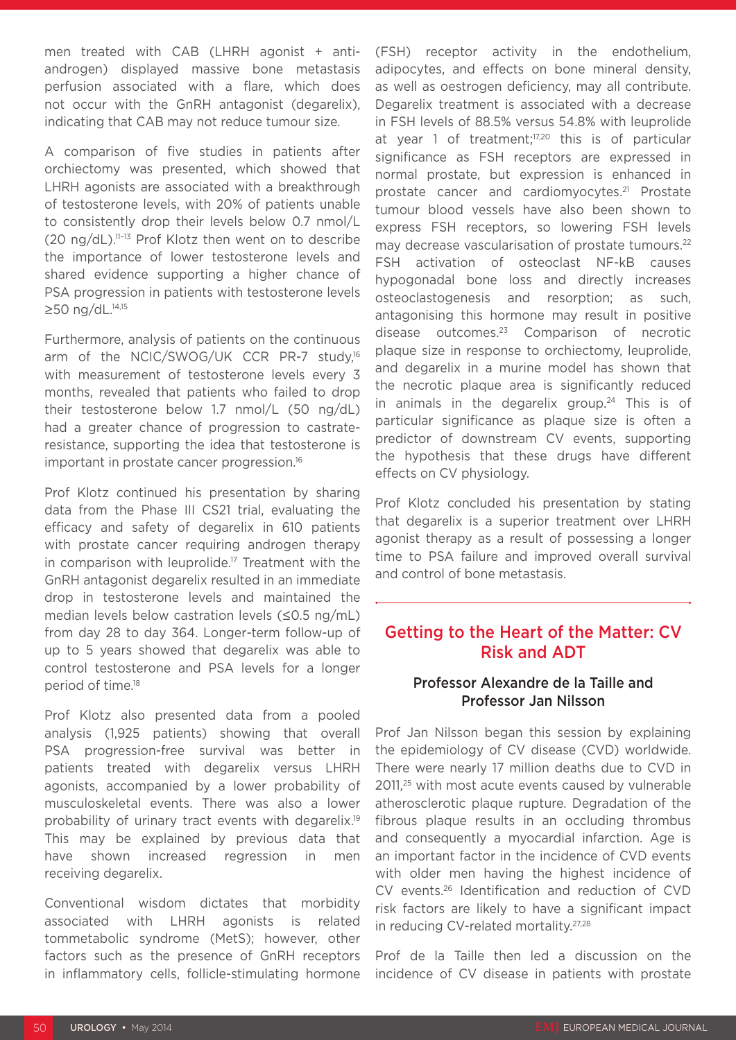men treated with CAB (LHRH agonist + antiandrogen) displayed massive bone metastasis perfusion associated with a flare, which does not occur with the GnRH antagonist (degarelix), indicating that CAB may not reduce tumour size.

A comparison of five studies in patients after orchiectomy was presented, which showed that LHRH agonists are associated with a breakthrough of testosterone levels, with 20% of patients unable to consistently drop their levels below 0.7 nmol/L (20 ng/dL).11–13 Prof Klotz then went on to describe the importance of lower testosterone levels and shared evidence supporting a higher chance of PSA progression in patients with testosterone levels ≥50 ng/dL.<sup>14,15</sup>

Furthermore, analysis of patients on the continuous arm of the NCIC/SWOG/UK CCR PR-7 study,<sup>16</sup> with measurement of testosterone levels every 3 months, revealed that patients who failed to drop their testosterone below 1.7 nmol/L (50 ng/dL) had a greater chance of progression to castrateresistance, supporting the idea that testosterone is important in prostate cancer progression.16

Prof Klotz continued his presentation by sharing data from the Phase III CS21 trial, evaluating the efficacy and safety of degarelix in 610 patients with prostate cancer requiring androgen therapy in comparison with leuprolide.<sup>17</sup> Treatment with the GnRH antagonist degarelix resulted in an immediate drop in testosterone levels and maintained the median levels below castration levels (≤0.5 ng/mL) from day 28 to day 364. Longer-term follow-up of up to 5 years showed that degarelix was able to control testosterone and PSA levels for a longer period of time.18

Prof Klotz also presented data from a pooled analysis (1,925 patients) showing that overall PSA progression-free survival was better in patients treated with degarelix versus LHRH agonists, accompanied by a lower probability of musculoskeletal events. There was also a lower probability of urinary tract events with degarelix.19 This may be explained by previous data that have shown increased regression in men receiving degarelix.

Conventional wisdom dictates that morbidity associated with LHRH agonists is related tommetabolic syndrome (MetS); however, other factors such as the presence of GnRH receptors in inflammatory cells, follicle-stimulating hormone (FSH) receptor activity in the endothelium, adipocytes, and effects on bone mineral density, as well as oestrogen deficiency, may all contribute. Degarelix treatment is associated with a decrease in FSH levels of 88.5% versus 54.8% with leuprolide at year 1 of treatment;<sup>17,20</sup> this is of particular significance as FSH receptors are expressed in normal prostate, but expression is enhanced in prostate cancer and cardiomyocytes.21 Prostate tumour blood vessels have also been shown to express FSH receptors, so lowering FSH levels may decrease vascularisation of prostate tumours.<sup>22</sup> FSH activation of osteoclast NF-kB causes hypogonadal bone loss and directly increases osteoclastogenesis and resorption; as such, antagonising this hormone may result in positive disease outcomes.23 Comparison of necrotic plaque size in response to orchiectomy, leuprolide, and degarelix in a murine model has shown that the necrotic plaque area is significantly reduced in animals in the degarelix group.<sup>24</sup> This is of particular significance as plaque size is often a predictor of downstream CV events, supporting the hypothesis that these drugs have different effects on CV physiology.

Prof Klotz concluded his presentation by stating that degarelix is a superior treatment over LHRH agonist therapy as a result of possessing a longer time to PSA failure and improved overall survival and control of bone metastasis.

#### Getting to the Heart of the Matter: CV Risk and ADT

#### Professor Alexandre de la Taille and Professor Jan Nilsson

Prof Jan Nilsson began this session by explaining the epidemiology of CV disease (CVD) worldwide. There were nearly 17 million deaths due to CVD in 2011,25 with most acute events caused by vulnerable atherosclerotic plaque rupture. Degradation of the fibrous plaque results in an occluding thrombus and consequently a myocardial infarction. Age is an important factor in the incidence of CVD events with older men having the highest incidence of CV events.26 Identification and reduction of CVD risk factors are likely to have a significant impact in reducing CV-related mortality.27,28

Prof de la Taille then led a discussion on the incidence of CV disease in patients with prostate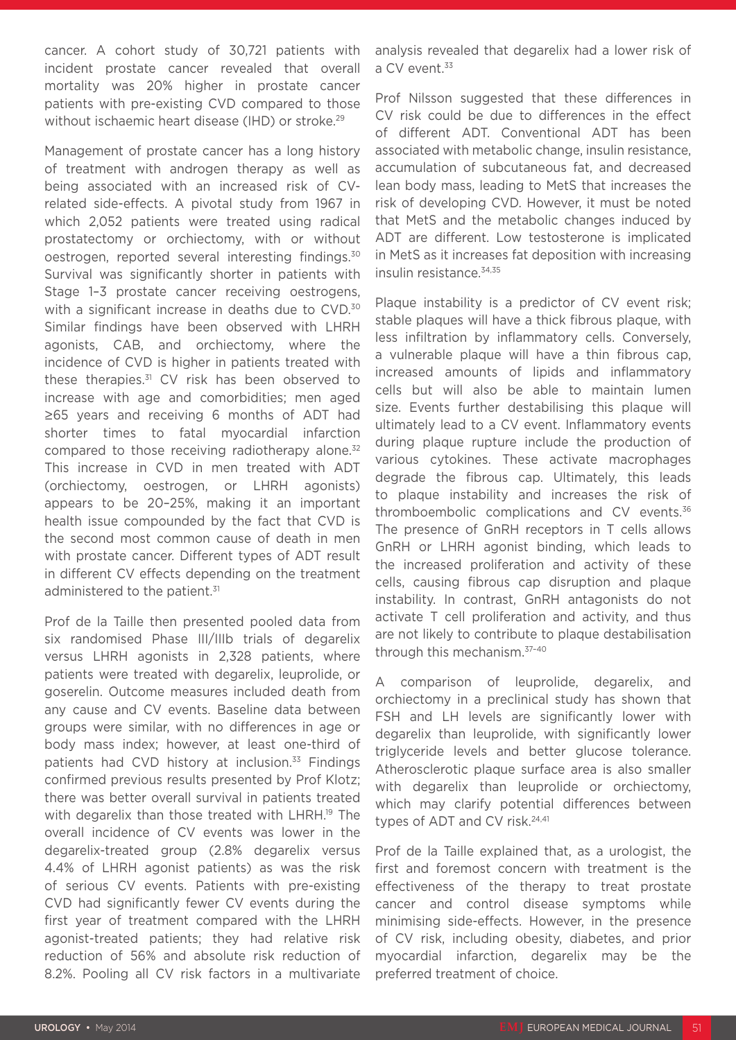cancer. A cohort study of 30,721 patients with incident prostate cancer revealed that overall mortality was 20% higher in prostate cancer patients with pre-existing CVD compared to those without ischaemic heart disease (IHD) or stroke.<sup>29</sup>

Management of prostate cancer has a long history of treatment with androgen therapy as well as being associated with an increased risk of CVrelated side-effects. A pivotal study from 1967 in which 2,052 patients were treated using radical prostatectomy or orchiectomy, with or without oestrogen, reported several interesting findings.30 Survival was significantly shorter in patients with Stage 1–3 prostate cancer receiving oestrogens, with a significant increase in deaths due to CVD.<sup>30</sup> Similar findings have been observed with LHRH agonists, CAB, and orchiectomy, where the incidence of CVD is higher in patients treated with these therapies.31 CV risk has been observed to increase with age and comorbidities; men aged ≥65 years and receiving 6 months of ADT had shorter times to fatal myocardial infarction compared to those receiving radiotherapy alone.<sup>32</sup> This increase in CVD in men treated with ADT (orchiectomy, oestrogen, or LHRH agonists) appears to be 20–25%, making it an important health issue compounded by the fact that CVD is the second most common cause of death in men with prostate cancer. Different types of ADT result in different CV effects depending on the treatment administered to the patient.<sup>31</sup>

Prof de la Taille then presented pooled data from six randomised Phase III/IIIb trials of degarelix versus LHRH agonists in 2,328 patients, where patients were treated with degarelix, leuprolide, or goserelin. Outcome measures included death from any cause and CV events. Baseline data between groups were similar, with no differences in age or body mass index; however, at least one-third of patients had CVD history at inclusion.<sup>33</sup> Findings confirmed previous results presented by Prof Klotz; there was better overall survival in patients treated with degarelix than those treated with LHRH.<sup>19</sup> The overall incidence of CV events was lower in the degarelix-treated group (2.8% degarelix versus 4.4% of LHRH agonist patients) as was the risk of serious CV events. Patients with pre-existing CVD had significantly fewer CV events during the first year of treatment compared with the LHRH agonist-treated patients; they had relative risk reduction of 56% and absolute risk reduction of 8.2%. Pooling all CV risk factors in a multivariate

analysis revealed that degarelix had a lower risk of a CV event.<sup>33</sup>

Prof Nilsson suggested that these differences in CV risk could be due to differences in the effect of different ADT. Conventional ADT has been associated with metabolic change, insulin resistance, accumulation of subcutaneous fat, and decreased lean body mass, leading to MetS that increases the risk of developing CVD. However, it must be noted that MetS and the metabolic changes induced by ADT are different. Low testosterone is implicated in MetS as it increases fat deposition with increasing insulin resistance.<sup>34,35</sup>

Plaque instability is a predictor of CV event risk; stable plaques will have a thick fibrous plaque, with less infiltration by inflammatory cells. Conversely, a vulnerable plaque will have a thin fibrous cap, increased amounts of lipids and inflammatory cells but will also be able to maintain lumen size. Events further destabilising this plaque will ultimately lead to a CV event. Inflammatory events during plaque rupture include the production of various cytokines. These activate macrophages degrade the fibrous cap. Ultimately, this leads to plaque instability and increases the risk of thromboembolic complications and CV events.<sup>36</sup> The presence of GnRH receptors in T cells allows GnRH or LHRH agonist binding, which leads to the increased proliferation and activity of these cells, causing fibrous cap disruption and plaque instability. In contrast, GnRH antagonists do not activate T cell proliferation and activity, and thus are not likely to contribute to plaque destabilisation through this mechanism.37–40

A comparison of leuprolide, degarelix, and orchiectomy in a preclinical study has shown that FSH and LH levels are significantly lower with degarelix than leuprolide, with significantly lower triglyceride levels and better glucose tolerance. Atherosclerotic plaque surface area is also smaller with degarelix than leuprolide or orchiectomy, which may clarify potential differences between types of ADT and CV risk.<sup>24,41</sup>

Prof de la Taille explained that, as a urologist, the first and foremost concern with treatment is the effectiveness of the therapy to treat prostate cancer and control disease symptoms while minimising side-effects. However, in the presence of CV risk, including obesity, diabetes, and prior myocardial infarction, degarelix may be the preferred treatment of choice.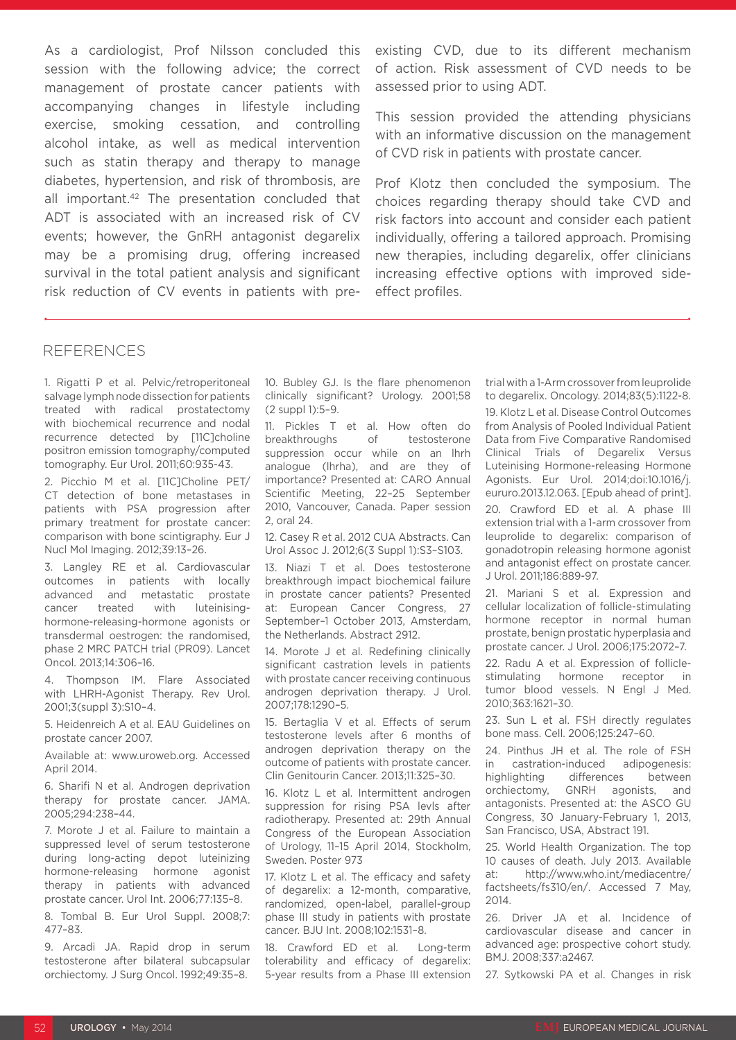As a cardiologist, Prof Nilsson concluded this session with the following advice; the correct management of prostate cancer patients with accompanying changes in lifestyle including exercise, smoking cessation, and controlling alcohol intake, as well as medical intervention such as statin therapy and therapy to manage diabetes, hypertension, and risk of thrombosis, are all important.42 The presentation concluded that ADT is associated with an increased risk of CV events; however, the GnRH antagonist degarelix may be a promising drug, offering increased survival in the total patient analysis and significant risk reduction of CV events in patients with pre-

existing CVD, due to its different mechanism of action. Risk assessment of CVD needs to be assessed prior to using ADT.

This session provided the attending physicians with an informative discussion on the management of CVD risk in patients with prostate cancer.

Prof Klotz then concluded the symposium. The choices regarding therapy should take CVD and risk factors into account and consider each patient individually, offering a tailored approach. Promising new therapies, including degarelix, offer clinicians increasing effective options with improved sideeffect profiles.

#### **REFERENCES**

1. Rigatti P et al. Pelvic/retroperitoneal salvage lymph node dissection for patients treated with radical prostatectomy with biochemical recurrence and nodal recurrence detected by [11C]choline positron emission tomography/computed tomography. Eur Urol. 2011;60:935-43.

2. Picchio M et al. [11C]Choline PET/ CT detection of bone metastases in patients with PSA progression after primary treatment for prostate cancer: comparison with bone scintigraphy. Eur J Nucl Mol Imaging. 2012;39:13–26.

3. Langley RE et al. Cardiovascular outcomes in patients with locally advanced and metastatic prostate cancer treated with luteinisinghormone-releasing-hormone agonists or transdermal oestrogen: the randomised, phase 2 MRC PATCH trial (PR09). Lancet Oncol. 2013;14:306–16.

4. Thompson IM. Flare Associated with LHRH-Agonist Therapy. Rev Urol. 2001;3(suppl 3):S10–4.

5. Heidenreich A et al. EAU Guidelines on prostate cancer 2007.

Available at: www.uroweb.org. Accessed April 2014.

6. Sharifi N et al. Androgen deprivation therapy for prostate cancer. JAMA. 2005;294:238–44.

7. Morote J et al. Failure to maintain a suppressed level of serum testosterone during long-acting depot luteinizing hormone-releasing hormone agonist therapy in patients with advanced prostate cancer. Urol Int. 2006;77:135–8.

8. Tombal B. Eur Urol Suppl. 2008;7: 477–83.

9. Arcadi JA. Rapid drop in serum testosterone after bilateral subcapsular orchiectomy. J Surg Oncol. 1992;49:35–8.

10. Bubley GJ. Is the flare phenomenon clinically significant? Urology. 2001;58 (2 suppl 1):5–9.

11. Pickles T et al. How often do breakthroughs of testosterone suppression occur while on an lhrh analogue (lhrha), and are they of importance? Presented at: CARO Annual Scientific Meeting, 22–25 September 2010, Vancouver, Canada. Paper session 2, oral 24.

12. Casey R et al. 2012 CUA Abstracts. Can Urol Assoc J. 2012;6(3 Suppl 1):S3–S103.

13. Niazi T et al. Does testosterone breakthrough impact biochemical failure in prostate cancer patients? Presented at: European Cancer Congress, 27 September–1 October 2013, Amsterdam, the Netherlands. Abstract 2912.

14. Morote J et al. Redefining clinically significant castration levels in patients with prostate cancer receiving continuous androgen deprivation therapy. J Urol. 2007;178:1290–5.

15. Bertaglia V et al. Effects of serum testosterone levels after 6 months of androgen deprivation therapy on the outcome of patients with prostate cancer. Clin Genitourin Cancer. 2013;11:325–30.

16. Klotz L et al. Intermittent androgen suppression for rising PSA levls after radiotherapy. Presented at: 29th Annual Congress of the European Association of Urology, 11–15 April 2014, Stockholm, Sweden. Poster 973

17. Klotz L et al. The efficacy and safety of degarelix: a 12-month, comparative, randomized, open-label, parallel-group phase III study in patients with prostate cancer. BJU Int. 2008;102:1531–8.

18. Crawford ED et al. Long-term tolerability and efficacy of degarelix: 5-year results from a Phase III extension trial with a 1-Arm crossover from leuprolide to degarelix. Oncology. 2014;83(5):1122-8.

19. Klotz L et al. Disease Control Outcomes from Analysis of Pooled Individual Patient Data from Five Comparative Randomised Clinical Trials of Degarelix Versus Luteinising Hormone-releasing Hormone Agonists. Eur Urol. 2014;doi:10.1016/j. eururo.2013.12.063. [Epub ahead of print].

20. Crawford ED et al. A phase III extension trial with a 1-arm crossover from leuprolide to degarelix: comparison of gonadotropin releasing hormone agonist and antagonist effect on prostate cancer. J Urol. 2011;186:889-97.

21. Mariani S et al. Expression and cellular localization of follicle-stimulating hormone receptor in normal human prostate, benign prostatic hyperplasia and prostate cancer. J Urol. 2006;175:2072–7.

22. Radu A et al. Expression of folliclestimulating hormone receptor in tumor blood vessels. N Engl J Med. 2010;363:1621–30.

23. Sun L et al. FSH directly regulates bone mass. Cell. 2006;125:247–60.

24. Pinthus JH et al. The role of FSH in castration-induced adipogenesis: highlighting differences between orchiectomy, GNRH agonists, and antagonists. Presented at: the ASCO GU Congress, 30 January-February 1, 2013, San Francisco, USA, Abstract 191.

25. World Health Organization. The top 10 causes of death. July 2013. Available at: http://www.who.int/mediacentre/ factsheets/fs310/en/. Accessed 7 May, 2014.

26. Driver JA et al. Incidence of cardiovascular disease and cancer in advanced age: prospective cohort study. BMJ. 2008;337:a2467.

27. Sytkowski PA et al. Changes in risk